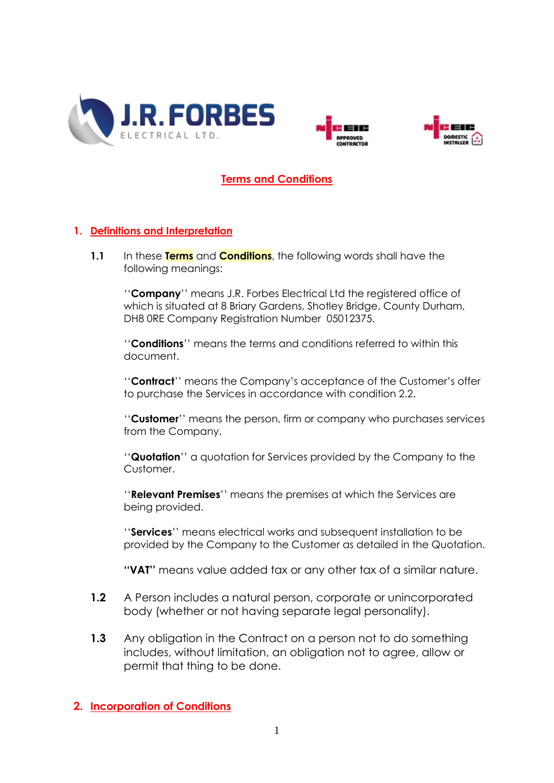





#### **Terms and Conditions**

#### **1. Definitions and Interpretation**

**1.1** In these **Terms** and **Conditions**, the following words shall have the following meanings:

''**Company**'' means J.R. Forbes Electrical Ltd the registered office of which is situated at 8 Briary Gardens, Shotley Bridge, County Durham, DH8 0RE Company Registration Number 05012375.

''**Conditions**'' means the terms and conditions referred to within this document.

''**Contract**'' means the Company's acceptance of the Customer's offer to purchase the Services in accordance with condition 2.2.

''**Customer**'' means the person, firm or company who purchases services from the Company.

''**Quotation**'' a quotation for Services provided by the Company to the Customer.

''**Relevant Premises**'' means the premises at which the Services are being provided.

''**Services**'' means electrical works and subsequent installation to be provided by the Company to the Customer as detailed in the Quotation.

**''VAT''** means value added tax or any other tax of a similar nature.

- **1.2** A Person includes a natural person, corporate or unincorporated body (whether or not having separate legal personality).
- **1.3** Any obligation in the Contract on a person not to do something includes, without limitation, an obligation not to agree, allow or permit that thing to be done.

#### **2. Incorporation of Conditions**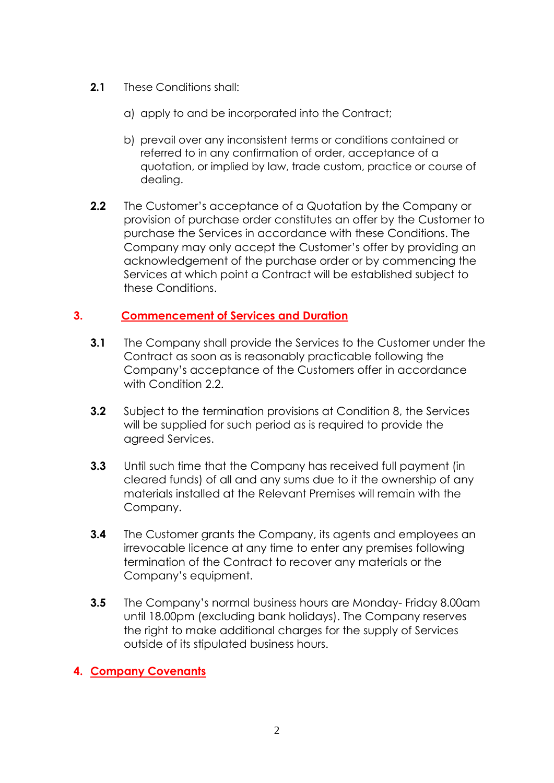- **2.1** These Conditions shall:
	- a) apply to and be incorporated into the Contract;
	- b) prevail over any inconsistent terms or conditions contained or referred to in any confirmation of order, acceptance of a quotation, or implied by law, trade custom, practice or course of dealing.
- **2.2** The Customer's acceptance of a Quotation by the Company or provision of purchase order constitutes an offer by the Customer to purchase the Services in accordance with these Conditions. The Company may only accept the Customer's offer by providing an acknowledgement of the purchase order or by commencing the Services at which point a Contract will be established subject to these Conditions.

#### **3. Commencement of Services and Duration**

- **3.1** The Company shall provide the Services to the Customer under the Contract as soon as is reasonably practicable following the Company's acceptance of the Customers offer in accordance with Condition 2.2.
- **3.2** Subject to the termination provisions at Condition 8, the Services will be supplied for such period as is required to provide the agreed Services.
- **3.3** Until such time that the Company has received full payment (in cleared funds) of all and any sums due to it the ownership of any materials installed at the Relevant Premises will remain with the Company.
- **3.4** The Customer grants the Company, its agents and employees an irrevocable licence at any time to enter any premises following termination of the Contract to recover any materials or the Company's equipment.
- **3.5** The Company's normal business hours are Monday- Friday 8.00am until 18.00pm (excluding bank holidays). The Company reserves the right to make additional charges for the supply of Services outside of its stipulated business hours.

# **4. Company Covenants**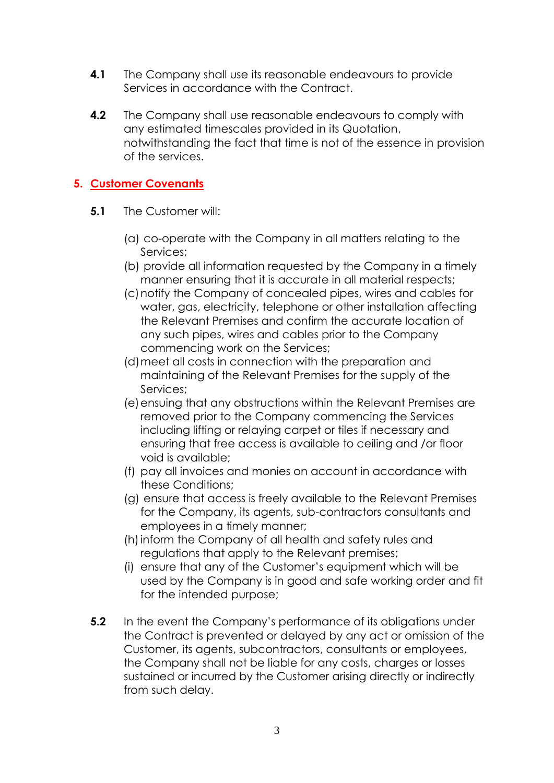- **4.1** The Company shall use its reasonable endeavours to provide Services in accordance with the Contract.
- **4.2** The Company shall use reasonable endeavours to comply with any estimated timescales provided in its Quotation, notwithstanding the fact that time is not of the essence in provision of the services.

# **5. Customer Covenants**

- **5.1** The Customer will:
	- (a) co-operate with the Company in all matters relating to the Services;
	- (b) provide all information requested by the Company in a timely manner ensuring that it is accurate in all material respects;
	- (c)notify the Company of concealed pipes, wires and cables for water, gas, electricity, telephone or other installation affecting the Relevant Premises and confirm the accurate location of any such pipes, wires and cables prior to the Company commencing work on the Services;
	- (d)meet all costs in connection with the preparation and maintaining of the Relevant Premises for the supply of the Services;
	- (e) ensuing that any obstructions within the Relevant Premises are removed prior to the Company commencing the Services including lifting or relaying carpet or tiles if necessary and ensuring that free access is available to ceiling and /or floor void is available;
	- (f) pay all invoices and monies on account in accordance with these Conditions;
	- (g) ensure that access is freely available to the Relevant Premises for the Company, its agents, sub-contractors consultants and employees in a timely manner;
	- (h)inform the Company of all health and safety rules and regulations that apply to the Relevant premises;
	- (i) ensure that any of the Customer's equipment which will be used by the Company is in good and safe working order and fit for the intended purpose;
- **5.2** In the event the Company's performance of its obligations under the Contract is prevented or delayed by any act or omission of the Customer, its agents, subcontractors, consultants or employees, the Company shall not be liable for any costs, charges or losses sustained or incurred by the Customer arising directly or indirectly from such delay.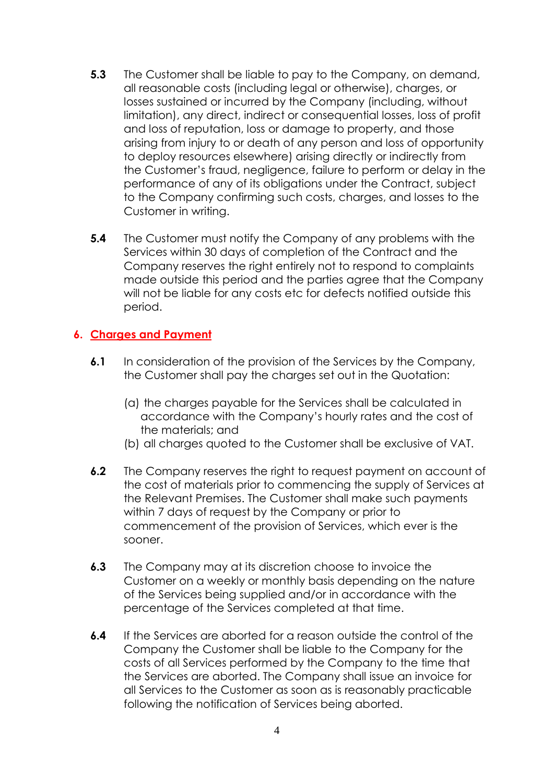- **5.3** The Customer shall be liable to pay to the Company, on demand, all reasonable costs (including legal or otherwise), charges, or losses sustained or incurred by the Company (including, without limitation), any direct, indirect or consequential losses, loss of profit and loss of reputation, loss or damage to property, and those arising from injury to or death of any person and loss of opportunity to deploy resources elsewhere) arising directly or indirectly from the Customer's fraud, negligence, failure to perform or delay in the performance of any of its obligations under the Contract, subject to the Company confirming such costs, charges, and losses to the Customer in writing.
- **5.4** The Customer must notify the Company of any problems with the Services within 30 days of completion of the Contract and the Company reserves the right entirely not to respond to complaints made outside this period and the parties agree that the Company will not be liable for any costs etc for defects notified outside this period.

# **6. Charges and Payment**

- **6.1** In consideration of the provision of the Services by the Company, the Customer shall pay the charges set out in the Quotation:
	- (a) the charges payable for the Services shall be calculated in accordance with the Company's hourly rates and the cost of the materials; and
	- (b) all charges quoted to the Customer shall be exclusive of VAT.
- **6.2** The Company reserves the right to request payment on account of the cost of materials prior to commencing the supply of Services at the Relevant Premises. The Customer shall make such payments within 7 days of request by the Company or prior to commencement of the provision of Services, which ever is the sooner.
- **6.3** The Company may at its discretion choose to invoice the Customer on a weekly or monthly basis depending on the nature of the Services being supplied and/or in accordance with the percentage of the Services completed at that time.
- **6.4** If the Services are aborted for a reason outside the control of the Company the Customer shall be liable to the Company for the costs of all Services performed by the Company to the time that the Services are aborted. The Company shall issue an invoice for all Services to the Customer as soon as is reasonably practicable following the notification of Services being aborted.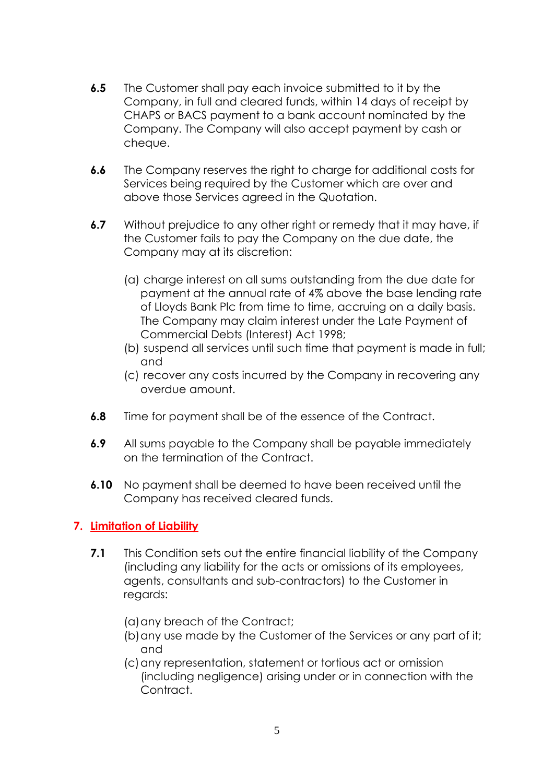- **6.5** The Customer shall pay each invoice submitted to it by the Company, in full and cleared funds, within 14 days of receipt by CHAPS or BACS payment to a bank account nominated by the Company. The Company will also accept payment by cash or cheque.
- **6.6** The Company reserves the right to charge for additional costs for Services being required by the Customer which are over and above those Services agreed in the Quotation.
- **6.7** Without prejudice to any other right or remedy that it may have, if the Customer fails to pay the Company on the due date, the Company may at its discretion:
	- (a) charge interest on all sums outstanding from the due date for payment at the annual rate of 4% above the base lending rate of Lloyds Bank Plc from time to time, accruing on a daily basis. The Company may claim interest under the Late Payment of Commercial Debts (Interest) Act 1998;
	- (b) suspend all services until such time that payment is made in full; and
	- (c) recover any costs incurred by the Company in recovering any overdue amount.
- **6.8** Time for payment shall be of the essence of the Contract.
- **6.9** All sums payable to the Company shall be payable immediately on the termination of the Contract.
- **6.10** No payment shall be deemed to have been received until the Company has received cleared funds.

# **7. Limitation of Liability**

- **7.1** This Condition sets out the entire financial liability of the Company (including any liability for the acts or omissions of its employees, agents, consultants and sub-contractors) to the Customer in regards:
	- (a)any breach of the Contract;
	- (b)any use made by the Customer of the Services or any part of it; and
	- (c)any representation, statement or tortious act or omission (including negligence) arising under or in connection with the Contract.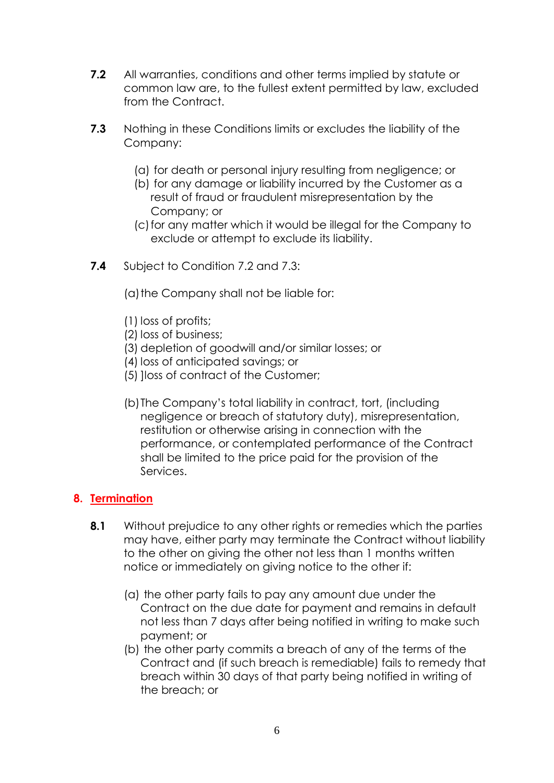- **7.2** All warranties, conditions and other terms implied by statute or common law are, to the fullest extent permitted by law, excluded from the Contract.
- **7.3** Nothing in these Conditions limits or excludes the liability of the Company:
	- (a) for death or personal injury resulting from negligence; or
	- (b) for any damage or liability incurred by the Customer as a result of fraud or fraudulent misrepresentation by the Company; or
	- (c)for any matter which it would be illegal for the Company to exclude or attempt to exclude its liability.
- **7.4** Subject to Condition 7.2 and 7.3:
	- (a) the Company shall not be liable for:
	- (1) loss of profits;
	- (2) loss of business;
	- (3) depletion of goodwill and/or similar losses; or
	- (4) loss of anticipated savings; or
	- (5) ]loss of contract of the Customer;
	- (b)The Company's total liability in contract, tort, (including negligence or breach of statutory duty), misrepresentation, restitution or otherwise arising in connection with the performance, or contemplated performance of the Contract shall be limited to the price paid for the provision of the Services.

# **8. Termination**

- **8.1** Without prejudice to any other rights or remedies which the parties may have, either party may terminate the Contract without liability to the other on giving the other not less than 1 months written notice or immediately on giving notice to the other if:
	- (a) the other party fails to pay any amount due under the Contract on the due date for payment and remains in default not less than 7 days after being notified in writing to make such payment; or
	- (b) the other party commits a breach of any of the terms of the Contract and (if such breach is remediable) fails to remedy that breach within 30 days of that party being notified in writing of the breach; or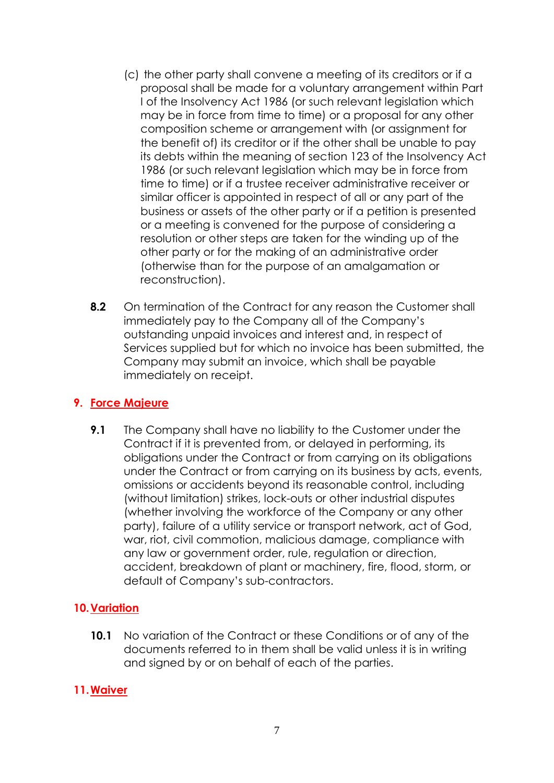- (c) the other party shall convene a meeting of its creditors or if a proposal shall be made for a voluntary arrangement within Part I of the Insolvency Act 1986 (or such relevant legislation which may be in force from time to time) or a proposal for any other composition scheme or arrangement with (or assignment for the benefit of) its creditor or if the other shall be unable to pay its debts within the meaning of section 123 of the Insolvency Act 1986 (or such relevant legislation which may be in force from time to time) or if a trustee receiver administrative receiver or similar officer is appointed in respect of all or any part of the business or assets of the other party or if a petition is presented or a meeting is convened for the purpose of considering a resolution or other steps are taken for the winding up of the other party or for the making of an administrative order (otherwise than for the purpose of an amalgamation or reconstruction).
- **8.2** On termination of the Contract for any reason the Customer shall immediately pay to the Company all of the Company's outstanding unpaid invoices and interest and, in respect of Services supplied but for which no invoice has been submitted, the Company may submit an invoice, which shall be payable immediately on receipt.

# **9. Force Majeure**

**9.1** The Company shall have no liability to the Customer under the Contract if it is prevented from, or delayed in performing, its obligations under the Contract or from carrying on its obligations under the Contract or from carrying on its business by acts, events, omissions or accidents beyond its reasonable control, including (without limitation) strikes, lock-outs or other industrial disputes (whether involving the workforce of the Company or any other party), failure of a utility service or transport network, act of God, war, riot, civil commotion, malicious damage, compliance with any law or government order, rule, regulation or direction, accident, breakdown of plant or machinery, fire, flood, storm, or default of Company's sub-contractors.

# **10.Variation**

**10.1** No variation of the Contract or these Conditions or of any of the documents referred to in them shall be valid unless it is in writing and signed by or on behalf of each of the parties.

#### **11.Waiver**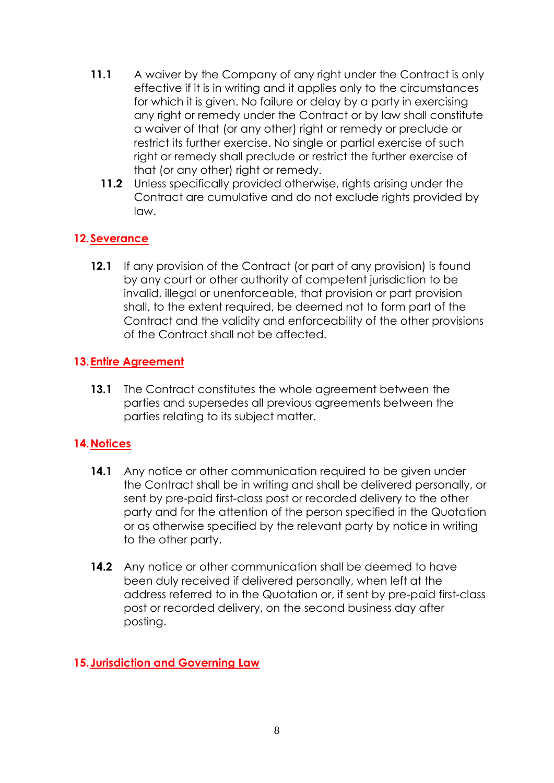- **11.1** A waiver by the Company of any right under the Contract is only effective if it is in writing and it applies only to the circumstances for which it is given. No failure or delay by a party in exercising any right or remedy under the Contract or by law shall constitute a waiver of that (or any other) right or remedy or preclude or restrict its further exercise. No single or partial exercise of such right or remedy shall preclude or restrict the further exercise of that (or any other) right or remedy.
	- **11.2** Unless specifically provided otherwise, rights arising under the Contract are cumulative and do not exclude rights provided by law.

# **12.Severance**

**12.1** If any provision of the Contract (or part of any provision) is found by any court or other authority of competent jurisdiction to be invalid, illegal or unenforceable, that provision or part provision shall, to the extent required, be deemed not to form part of the Contract and the validity and enforceability of the other provisions of the Contract shall not be affected.

# **13.Entire Agreement**

**13.1** The Contract constitutes the whole agreement between the parties and supersedes all previous agreements between the parties relating to its subject matter.

# **14.Notices**

- **14.1** Any notice or other communication required to be given under the Contract shall be in writing and shall be delivered personally, or sent by pre-paid first-class post or recorded delivery to the other party and for the attention of the person specified in the Quotation or as otherwise specified by the relevant party by notice in writing to the other party.
- **14.2** Any notice or other communication shall be deemed to have been duly received if delivered personally, when left at the address referred to in the Quotation or, if sent by pre-paid first-class post or recorded delivery, on the second business day after posting.

# **15.Jurisdiction and Governing Law**